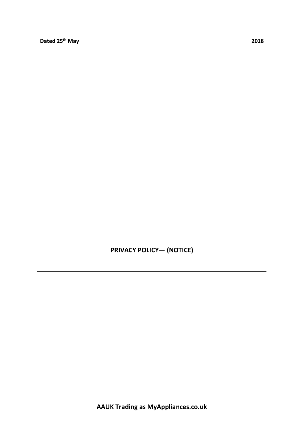**PRIVACY POLICY— (NOTICE)**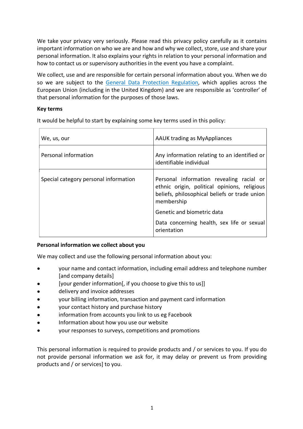We take your privacy very seriously. Please read this privacy policy carefully as it contains important information on who we are and how and why we collect, store, use and share your personal information. It also explains your rights in relation to your personal information and how to contact us or supervisory authorities in the event you have a complaint.

We collect, use and are responsible for certain personal information about you. When we do so we are subject to the General Data Protection Regulation, which applies across the European Union (including in the United Kingdom) and we are responsible as 'controller' of that personal information for the purposes of those laws.

## **Key terms**

It would be helpful to start by explaining some key terms used in this policy:

| We, us, our                           | <b>AAUK trading as MyAppliances</b>                                                                                                                                                                                                                |
|---------------------------------------|----------------------------------------------------------------------------------------------------------------------------------------------------------------------------------------------------------------------------------------------------|
| Personal information                  | Any information relating to an identified or<br>identifiable individual                                                                                                                                                                            |
| Special category personal information | Personal information revealing racial or<br>ethnic origin, political opinions, religious<br>beliefs, philosophical beliefs or trade union<br>membership<br>Genetic and biometric data<br>Data concerning health, sex life or sexual<br>orientation |

#### **Personal information we collect about you**

We may collect and use the following personal information about you:

- your name and contact information, including email address and telephone number [and company details]
- [your gender information[, if you choose to give this to us]]
- delivery and invoice addresses
- your billing information, transaction and payment card information
- your contact history and purchase history
- information from accounts you link to us eg Facebook
- Information about how you use our website
- your responses to surveys, competitions and promotions

This personal information is required to provide products and / or services to you. If you do not provide personal information we ask for, it may delay or prevent us from providing products and / or services] to you.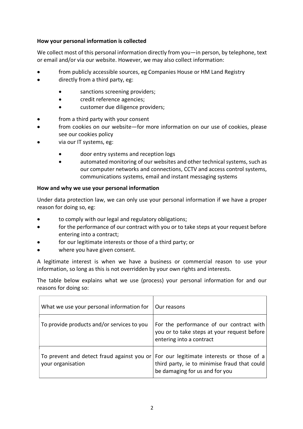## **How your personal information is collected**

We collect most of this personal information directly from you—in person, by telephone, text or email and/or via our website. However, we may also collect information:

- from publicly accessible sources, eg Companies House or HM Land Registry
- directly from a third party, eg:
	- sanctions screening providers;
	- credit reference agencies;
	- customer due diligence providers;
- from a third party with your consent
- from cookies on our website—for more information on our use of cookies, please see our cookies policy
- via our IT systems, eg:
	- door entry systems and reception logs
	- automated monitoring of our websites and other technical systems, such as our computer networks and connections, CCTV and access control systems, communications systems, email and instant messaging systems

## **How and why we use your personal information**

Under data protection law, we can only use your personal information if we have a proper reason for doing so, eg:

- to comply with our legal and regulatory obligations;
- for the performance of our contract with you or to take steps at your request before entering into a contract;
- for our legitimate interests or those of a third party; or
- where you have given consent.

A legitimate interest is when we have a business or commercial reason to use your information, so long as this is not overridden by your own rights and interests.

The table below explains what we use (process) your personal information for and our reasons for doing so:

| What we use your personal information for                                                                    | Our reasons                                                                                                         |
|--------------------------------------------------------------------------------------------------------------|---------------------------------------------------------------------------------------------------------------------|
| To provide products and/or services to you                                                                   | For the performance of our contract with<br>you or to take steps at your request before<br>entering into a contract |
| To prevent and detect fraud against you or   For our legitimate interests or those of a<br>your organisation | third party, ie to minimise fraud that could<br>be damaging for us and for you                                      |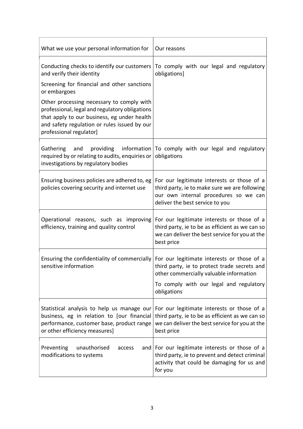| What we use your personal information for                                                                                                                                                                             | Our reasons                                                                                                                                                             |
|-----------------------------------------------------------------------------------------------------------------------------------------------------------------------------------------------------------------------|-------------------------------------------------------------------------------------------------------------------------------------------------------------------------|
| Conducting checks to identify our customers<br>and verify their identity                                                                                                                                              | To comply with our legal and regulatory<br>obligations]                                                                                                                 |
| Screening for financial and other sanctions<br>or embargoes                                                                                                                                                           |                                                                                                                                                                         |
| Other processing necessary to comply with<br>professional, legal and regulatory obligations<br>that apply to our business, eg under health<br>and safety regulation or rules issued by our<br>professional regulator] |                                                                                                                                                                         |
| Gathering<br>providing<br>information<br>and<br>required by or relating to audits, enquiries or<br>investigations by regulatory bodies                                                                                | To comply with our legal and regulatory<br>obligations                                                                                                                  |
| Ensuring business policies are adhered to, eg<br>policies covering security and internet use                                                                                                                          | For our legitimate interests or those of a<br>third party, ie to make sure we are following<br>our own internal procedures so we can<br>deliver the best service to you |
| Operational reasons, such as improving<br>efficiency, training and quality control                                                                                                                                    | For our legitimate interests or those of a<br>third party, ie to be as efficient as we can so<br>we can deliver the best service for you at the<br>best price           |
| Ensuring the confidentiality of commercially<br>sensitive information                                                                                                                                                 | For our legitimate interests or those of a<br>third party, ie to protect trade secrets and<br>other commercially valuable information                                   |
|                                                                                                                                                                                                                       | To comply with our legal and regulatory<br>obligations                                                                                                                  |
| Statistical analysis to help us manage our<br>business, eg in relation to [our financial<br>performance, customer base, product range<br>or other efficiency measures]                                                | For our legitimate interests or those of a<br>third party, ie to be as efficient as we can so<br>we can deliver the best service for you at the<br>best price           |
| Preventing<br>unauthorised<br>access<br>and<br>modifications to systems                                                                                                                                               | For our legitimate interests or those of a<br>third party, ie to prevent and detect criminal<br>activity that could be damaging for us and<br>for you                   |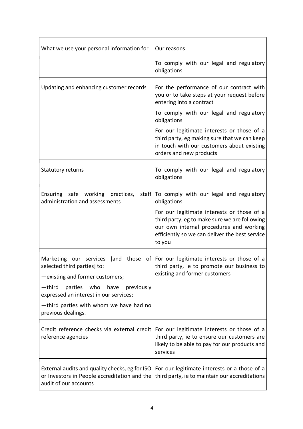| What we use your personal information for                                                                               | Our reasons                                                                                                                                                                                        |
|-------------------------------------------------------------------------------------------------------------------------|----------------------------------------------------------------------------------------------------------------------------------------------------------------------------------------------------|
|                                                                                                                         | To comply with our legal and regulatory<br>obligations                                                                                                                                             |
| Updating and enhancing customer records                                                                                 | For the performance of our contract with<br>you or to take steps at your request before<br>entering into a contract                                                                                |
|                                                                                                                         | To comply with our legal and regulatory<br>obligations                                                                                                                                             |
|                                                                                                                         | For our legitimate interests or those of a<br>third party, eg making sure that we can keep<br>in touch with our customers about existing<br>orders and new products                                |
| Statutory returns                                                                                                       | To comply with our legal and regulatory<br>obligations                                                                                                                                             |
| Ensuring safe working practices,<br>administration and assessments                                                      | staff   To comply with our legal and regulatory<br>obligations                                                                                                                                     |
|                                                                                                                         | For our legitimate interests or those of a<br>third party, eg to make sure we are following<br>our own internal procedures and working<br>efficiently so we can deliver the best service<br>to you |
| Marketing<br>our services<br>[and<br>selected third parties] to:<br>-existing and former customers;                     | those of   For our legitimate interests or those of a<br>third party, ie to promote our business to<br>existing and former customers                                                               |
| parties who<br>-third<br>have previously<br>expressed an interest in our services;                                      |                                                                                                                                                                                                    |
| -third parties with whom we have had no<br>previous dealings.                                                           |                                                                                                                                                                                                    |
| Credit reference checks via external credit<br>reference agencies                                                       | For our legitimate interests or those of a<br>third party, ie to ensure our customers are<br>likely to be able to pay for our products and<br>services                                             |
| External audits and quality checks, eg for ISO<br>or Investors in People accreditation and the<br>audit of our accounts | For our legitimate interests or a those of a<br>third party, ie to maintain our accreditations                                                                                                     |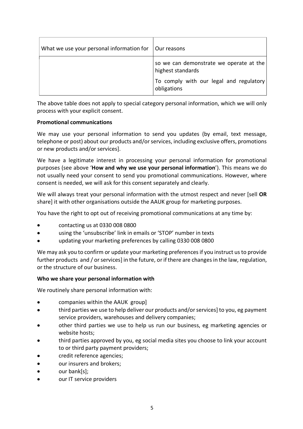| What we use your personal information for | Our reasons                                                  |
|-------------------------------------------|--------------------------------------------------------------|
|                                           | so we can demonstrate we operate at the<br>highest standards |
|                                           | To comply with our legal and regulatory<br>obligations       |

The above table does not apply to special category personal information, which we will only process with your explicit consent.

## **Promotional communications**

We may use your personal information to send you updates (by email, text message, telephone or post) about our products and/orservices, including exclusive offers, promotions or new products and/or services].

We have a legitimate interest in processing your personal information for promotional purposes (see above '**How and why we use your personal information**'). This means we do not usually need your consent to send you promotional communications. However, where consent is needed, we will ask for this consent separately and clearly.

We will always treat your personal information with the utmost respect and never [sell **OR** share] it with other organisations outside the AAUK group for marketing purposes.

You have the right to opt out of receiving promotional communications at any time by:

- contacting us at 0330 008 0800
- using the 'unsubscribe' link in emails or 'STOP' number in texts
- updating your marketing preferences by calling 0330 008 0800

We may ask you to confirm or update your marketing preferences if you instruct us to provide further products and / or services] in the future, or if there are changes in the law, regulation, or the structure of our business.

## **Who we share your personal information with**

We routinely share personal information with:

- companies within the AAUK group]
- third parties we use to help deliver our products and/orservices] to you, eg payment service providers, warehouses and delivery companies;
- other third parties we use to help us run our business, eg marketing agencies or website hosts;
- third parties approved by you, eg social media sites you choose to link your account to or third party payment providers;
- credit reference agencies;
- our insurers and brokers;
- our bank[s];
- our IT service providers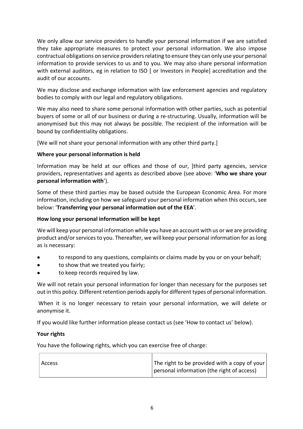We only allow our service providers to handle your personal information if we are satisfied they take appropriate measures to protect your personal information. We also impose contractual obligations on service providers relating to ensure they can only use your personal information to provide services to us and to you. We may also share personal information with external auditors, eg in relation to ISO [ or Investors in People] accreditation and the audit of our accounts.

We may disclose and exchange information with law enforcement agencies and regulatory bodies to comply with our legal and regulatory obligations.

We may also need to share some personal information with other parties, such as potential buyers of some or all of our business or during a re-structuring. Usually, information will be anonymised but this may not always be possible. The recipient of the information will be bound by confidentiality obligations.

[We will not share your personal information with any other third party.]

## **Where your personal information is held**

Information may be held at our offices and those of our, ]third party agencies, service providers, representatives and agents as described above (see above: '**Who we share your personal information with**').

Some of these third parties may be based outside the European Economic Area. For more information, including on how we safeguard your personal information when this occurs, see below: '**Transferring your personal information out of the EEA**'.

#### **How long your personal information will be kept**

We will keep your personal information while you have an account with us or we are providing product and/orservicesto you. Thereafter, we will keep your personal information for as long as is necessary:

- to respond to any questions, complaints or claims made by you or on your behalf;
- to show that we treated you fairly;
- to keep records required by law.

We will not retain your personal information for longer than necessary for the purposes set out in this policy. Different retention periods apply for different types of personal information.

When it is no longer necessary to retain your personal information, we will delete or anonymise it.

If you would like further information please contact us (see 'How to contact us' below).

#### **Your rights**

You have the following rights, which you can exercise free of charge:

| l Access | The right to be provided with a copy of your |
|----------|----------------------------------------------|
|          | personal information (the right of access)   |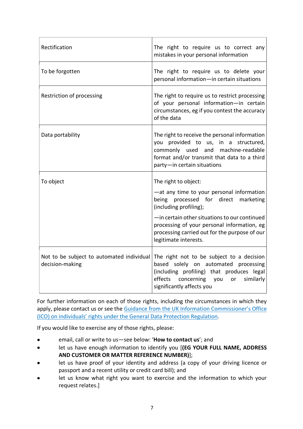| Rectification                                                | The right to require us to correct any<br>mistakes in your personal information                                                                                                                                                                                                                               |
|--------------------------------------------------------------|---------------------------------------------------------------------------------------------------------------------------------------------------------------------------------------------------------------------------------------------------------------------------------------------------------------|
| To be forgotten                                              | The right to require us to delete your<br>personal information-in certain situations                                                                                                                                                                                                                          |
| Restriction of processing                                    | The right to require us to restrict processing<br>of your personal information-in certain<br>circumstances, eg if you contest the accuracy<br>of the data                                                                                                                                                     |
| Data portability                                             | The right to receive the personal information<br>you provided to us, in a structured,<br>commonly used and machine-readable<br>format and/or transmit that data to a third<br>party-in certain situations                                                                                                     |
| To object                                                    | The right to object:<br>-at any time to your personal information<br>being processed for direct marketing<br>(including profiling);<br>-in certain other situations to our continued<br>processing of your personal information, eg<br>processing carried out for the purpose of our<br>legitimate interests. |
| Not to be subject to automated individual<br>decision-making | The right not to be subject to a decision<br>based solely on automated<br>processing<br>(including profiling) that produces legal<br>effects concerning you<br>similarly<br>or<br>significantly affects you                                                                                                   |

For further information on each of those rights, including the circumstances in which they apply, please contact us or see the Guidance from the UK Information Commissioner's Office (ICO) on individuals' rights under the General Data Protection Regulation.

If you would like to exercise any of those rights, please:

- email, call or write to us—see below: '**How to contact us**'; and
- let us have enough information to identify you [**(EG YOUR FULL NAME, ADDRESS AND CUSTOMER OR MATTER REFERENCE NUMBER)**];
- let us have proof of your identity and address (a copy of your driving licence or passport and a recent utility or credit card bill); and
- let us know what right you want to exercise and the information to which your request relates.]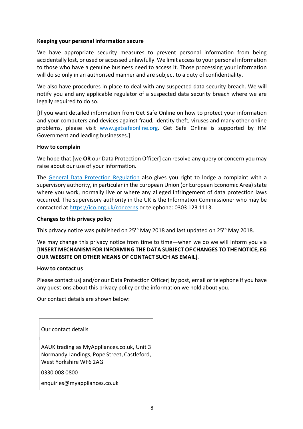## **Keeping your personal information secure**

We have appropriate security measures to prevent personal information from being accidentally lost, or used or accessed unlawfully. We limit access to your personal information to those who have a genuine business need to access it. Those processing your information will do so only in an authorised manner and are subject to a duty of confidentiality.

We also have procedures in place to deal with any suspected data security breach. We will notify you and any applicable regulator of a suspected data security breach where we are legally required to do so.

[If you want detailed information from Get Safe Online on how to protect your information and your computers and devices against fraud, identity theft, viruses and many other online problems, please visit www.getsafeonline.org. Get Safe Online is supported by HM Government and leading businesses.]

#### **How to complain**

We hope that [we **OR** our Data Protection Officer] can resolve any query or concern you may raise about our use of your information.

The General Data Protection Regulation also gives you right to lodge a complaint with a supervisory authority, in particular in the European Union (or European Economic Area) state where you work, normally live or where any alleged infringement of data protection laws occurred. The supervisory authority in the UK is the Information Commissioner who may be contacted at https://ico.org.uk/concerns or telephone: 0303 123 1113.

#### **Changes to this privacy policy**

This privacy notice was published on 25th May 2018 and last updated on 25th May 2018.

We may change this privacy notice from time to time—when we do we will inform you via [**INSERT MECHANISM FOR INFORMING THE DATA SUBJECT OF CHANGES TO THE NOTICE, EG OUR WEBSITE OR OTHER MEANS OF CONTACT SUCH AS EMAIL**].

#### **How to contact us**

Please contact us and/or our Data Protection Officer by post, email or telephone if you have any questions about this privacy policy or the information we hold about you.

Our contact details are shown below:

Our contact details

AAUK trading as MyAppliances.co.uk, Unit 3 Normandy Landings, Pope Street, Castleford, West Yorkshire WF6 2AG

0330 008 0800

enquiries@myappliances.co.uk